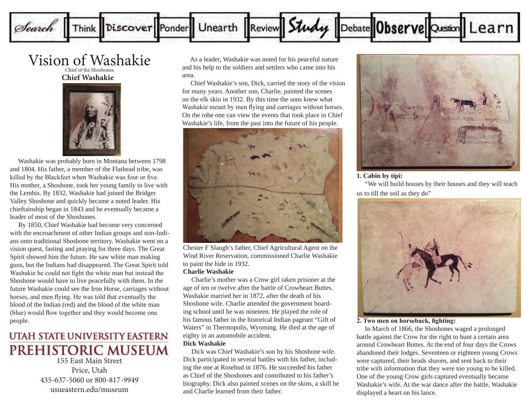

## Vision of Washakie Chief of the Shoshones

**Chief Washakie**



 Washakie was probably born in Montana between 1798 and 1804. His father, a member of the Flathead tribe, was killed by the Blackfeet when Washakie was four or five. His mother, a Shoshone, took her young family to live with the Lemhis. By 1832, Washakie had joined the Bridger Valley Shoshone and quickly became a noted leader. His chieftainship began in 1843 and he eventually became a leader of most of the Shoshones.

 By 1850, Chief Washakie had become very concerned with the encroachment of other Indian groups and non-Indians onto traditional Shoshone territory. Washakie went on a vision quest, fasting and praying for three days. The Great Spirit showed him the future. He saw white man making guns, but the Indians had disappeared. The Great Spirit told Washakie he could not fight the white man but instead the Shoshone would have to live peacefully with them. In the future Washakie could see the Iron Horse, carriages without horses, and men flying. He was told that eventually the blood of the Indian (red) and the blood of the white man (blue) would flow together and they would become one people.

# UTAH STATE UNIVERSITY EASTERN PREHISTORIC MUSEUM

155 East Main Street Price, Utah 435-637-5060 or 800-817-9949 usueastern.edu/museum

 As a leader, Washakie was noted for his peaceful nature and his help to the soldiers and settlers who came into his area.

 Chief Washakie's son, Dick, carried the story of the vision for many years. Another son, Charlie, painted the scenes on the elk skin in 1932. By this time the sons knew what Washakie meant by men flying and carriages without horses. On the robe one can view the events that took place in Chief Washakie's life, from the past into the future of his people.



Chester F Slaugh's father, Chief Agricultural Agent on the Wind River Reservation, commissioned Charlie Washakie to paint the hide in 1932.

## **Charlie Washakie**

 Charlie's mother was a Crow girl taken prisoner at the age of ten or twelve after the battle of Crowheart Buttes. Washakie married her in 1872, after the death of his Shoshone wife. Charlie attended the government boarding school until he was nineteen. He played the role of his famous father in the historical Indian pageant "Gift of Waters" in Thermopolis, Wyoming. He died at the age of eighty in an automobile accident.

## **Dick Washakie**

 Dick was Chief Washakie's son by his Shoshone wife. Dick participated in several battles with his father, including the one at Rosebud in 1876. He succeeded his father as Chief of the Shoshones and contributed to his father's biography. Dick also painted scenes on the skins, a skill he and Charlie learned from their father.



#### **1. Cabin by tipi:**

 "We will build houses by their houses and they will teach us to till the soil as they do"



## **2. Two men on horseback, fighting:**

 In March of 1866, the Shoshones waged a prolonged battle against the Crow for the right to hunt a certain area around Crowheart Buttes. At the end of four days the Crows abandoned their lodges. Seventeen or eighteen young Crows were captured, their heads shaven, and sent back to their tribe with information that they were too young to be killed. One of the young Crow girls captured eventually became Washakie's wife. At the war dance after the battle, Washakie displayed a heart on his lance.